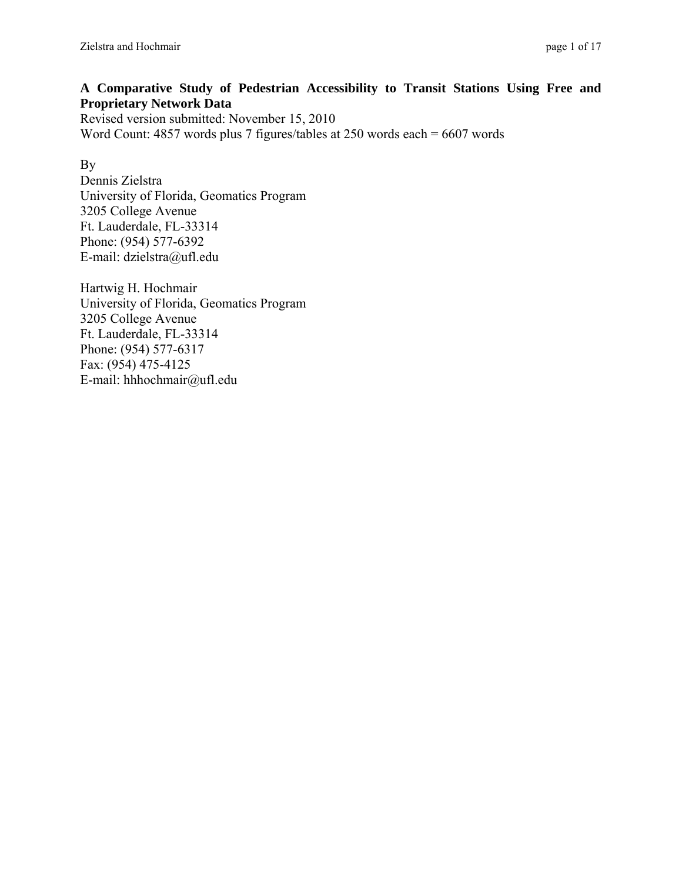# **A Comparative Study of Pedestrian Accessibility to Transit Stations Using Free and Proprietary Network Data**

Revised version submitted: November 15, 2010 Word Count: 4857 words plus 7 figures/tables at 250 words each = 6607 words

# By

Dennis Zielstra University of Florida, Geomatics Program 3205 College Avenue Ft. Lauderdale, FL-33314 Phone: (954) 577-6392 E-mail: dzielstra@ufl.edu

Hartwig H. Hochmair University of Florida, Geomatics Program 3205 College Avenue Ft. Lauderdale, FL-33314 Phone: (954) 577-6317 Fax: (954) 475-4125 E-mail: hhhochmair@ufl.edu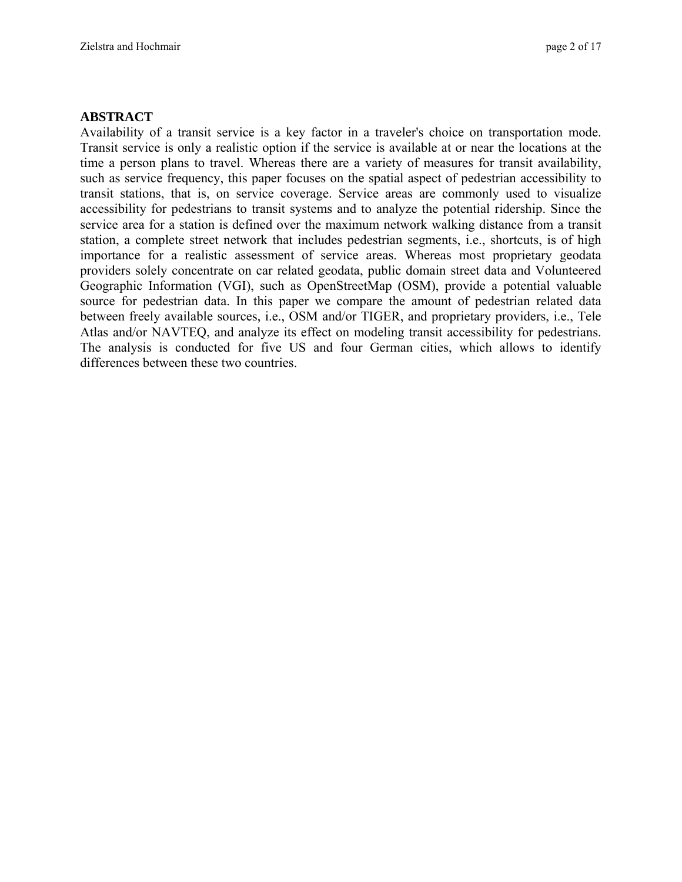## **ABSTRACT**

Availability of a transit service is a key factor in a traveler's choice on transportation mode. Transit service is only a realistic option if the service is available at or near the locations at the time a person plans to travel. Whereas there are a variety of measures for transit availability, such as service frequency, this paper focuses on the spatial aspect of pedestrian accessibility to transit stations, that is, on service coverage. Service areas are commonly used to visualize accessibility for pedestrians to transit systems and to analyze the potential ridership. Since the service area for a station is defined over the maximum network walking distance from a transit station, a complete street network that includes pedestrian segments, i.e., shortcuts, is of high importance for a realistic assessment of service areas. Whereas most proprietary geodata providers solely concentrate on car related geodata, public domain street data and Volunteered Geographic Information (VGI), such as OpenStreetMap (OSM), provide a potential valuable source for pedestrian data. In this paper we compare the amount of pedestrian related data between freely available sources, i.e., OSM and/or TIGER, and proprietary providers, i.e., Tele Atlas and/or NAVTEQ, and analyze its effect on modeling transit accessibility for pedestrians. The analysis is conducted for five US and four German cities, which allows to identify differences between these two countries.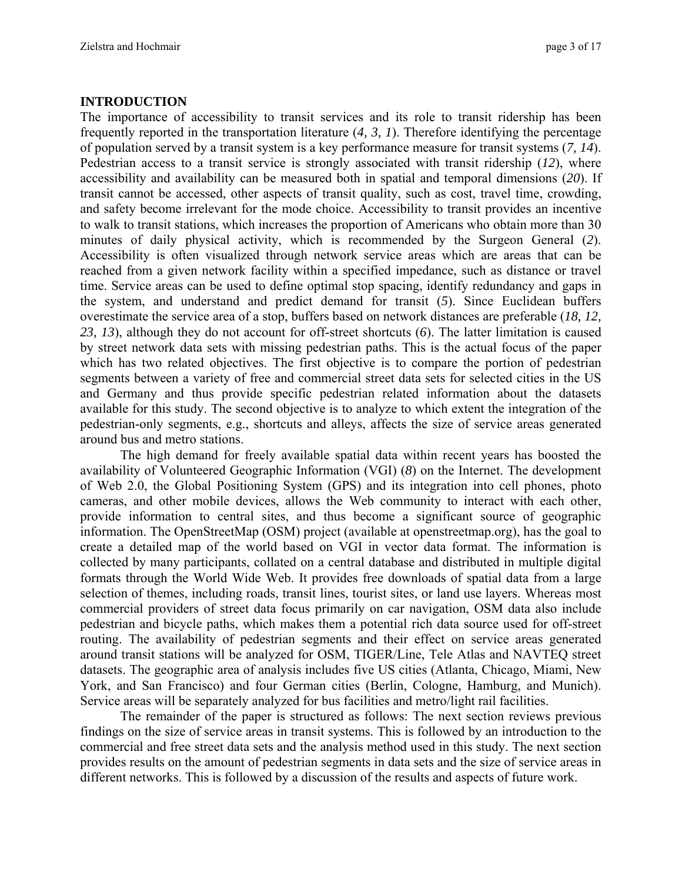**INTRODUCTION**  The importance of accessibility to transit services and its role to transit ridership has been frequently reported in the transportation literature (*4, 3, 1*). Therefore identifying the percentage of population served by a transit system is a key performance measure for transit systems (*7, 14*). Pedestrian access to a transit service is strongly associated with transit ridership (*12*), where accessibility and availability can be measured both in spatial and temporal dimensions (*20*). If transit cannot be accessed, other aspects of transit quality, such as cost, travel time, crowding, and safety become irrelevant for the mode choice. Accessibility to transit provides an incentive to walk to transit stations, which increases the proportion of Americans who obtain more than 30 minutes of daily physical activity, which is recommended by the Surgeon General (*2*). Accessibility is often visualized through network service areas which are areas that can be reached from a given network facility within a specified impedance, such as distance or travel time. Service areas can be used to define optimal stop spacing, identify redundancy and gaps in the system, and understand and predict demand for transit (*5*). Since Euclidean buffers overestimate the service area of a stop, buffers based on network distances are preferable (*18, 12, 23, 13*), although they do not account for off-street shortcuts (*6*). The latter limitation is caused by street network data sets with missing pedestrian paths. This is the actual focus of the paper which has two related objectives. The first objective is to compare the portion of pedestrian segments between a variety of free and commercial street data sets for selected cities in the US and Germany and thus provide specific pedestrian related information about the datasets available for this study. The second objective is to analyze to which extent the integration of the pedestrian-only segments, e.g., shortcuts and alleys, affects the size of service areas generated around bus and metro stations.

The high demand for freely available spatial data within recent years has boosted the availability of Volunteered Geographic Information (VGI) (*8*) on the Internet. The development of Web 2.0, the Global Positioning System (GPS) and its integration into cell phones, photo cameras, and other mobile devices, allows the Web community to interact with each other, provide information to central sites, and thus become a significant source of geographic information. The OpenStreetMap (OSM) project (available at openstreetmap.org), has the goal to create a detailed map of the world based on VGI in vector data format. The information is collected by many participants, collated on a central database and distributed in multiple digital formats through the World Wide Web. It provides free downloads of spatial data from a large selection of themes, including roads, transit lines, tourist sites, or land use layers. Whereas most commercial providers of street data focus primarily on car navigation, OSM data also include pedestrian and bicycle paths, which makes them a potential rich data source used for off-street routing. The availability of pedestrian segments and their effect on service areas generated around transit stations will be analyzed for OSM, TIGER/Line, Tele Atlas and NAVTEQ street datasets. The geographic area of analysis includes five US cities (Atlanta, Chicago, Miami, New York, and San Francisco) and four German cities (Berlin, Cologne, Hamburg, and Munich). Service areas will be separately analyzed for bus facilities and metro/light rail facilities.

The remainder of the paper is structured as follows: The next section reviews previous findings on the size of service areas in transit systems. This is followed by an introduction to the commercial and free street data sets and the analysis method used in this study. The next section provides results on the amount of pedestrian segments in data sets and the size of service areas in different networks. This is followed by a discussion of the results and aspects of future work.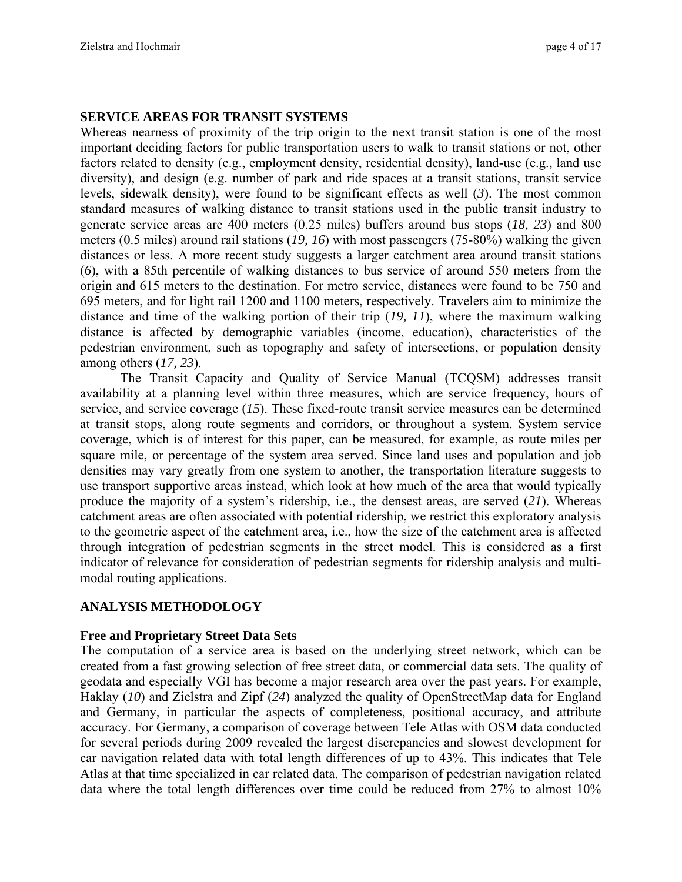## **SERVICE AREAS FOR TRANSIT SYSTEMS**

Whereas nearness of proximity of the trip origin to the next transit station is one of the most important deciding factors for public transportation users to walk to transit stations or not, other factors related to density (e.g., employment density, residential density), land-use (e.g., land use diversity), and design (e.g. number of park and ride spaces at a transit stations, transit service levels, sidewalk density), were found to be significant effects as well (*3*). The most common standard measures of walking distance to transit stations used in the public transit industry to generate service areas are 400 meters (0.25 miles) buffers around bus stops (*18, 23*) and 800 meters (0.5 miles) around rail stations (*19, 16*) with most passengers (75-80%) walking the given distances or less. A more recent study suggests a larger catchment area around transit stations (*6*), with a 85th percentile of walking distances to bus service of around 550 meters from the origin and 615 meters to the destination. For metro service, distances were found to be 750 and 695 meters, and for light rail 1200 and 1100 meters, respectively. Travelers aim to minimize the distance and time of the walking portion of their trip (*19, 11*), where the maximum walking distance is affected by demographic variables (income, education), characteristics of the pedestrian environment, such as topography and safety of intersections, or population density among others (*17, 23*).

The Transit Capacity and Quality of Service Manual (TCQSM) addresses transit availability at a planning level within three measures, which are service frequency, hours of service, and service coverage (*15*). These fixed-route transit service measures can be determined at transit stops, along route segments and corridors, or throughout a system. System service coverage, which is of interest for this paper, can be measured, for example, as route miles per square mile, or percentage of the system area served. Since land uses and population and job densities may vary greatly from one system to another, the transportation literature suggests to use transport supportive areas instead, which look at how much of the area that would typically produce the majority of a system's ridership, i.e., the densest areas, are served (*21*). Whereas catchment areas are often associated with potential ridership, we restrict this exploratory analysis to the geometric aspect of the catchment area, i.e., how the size of the catchment area is affected through integration of pedestrian segments in the street model. This is considered as a first indicator of relevance for consideration of pedestrian segments for ridership analysis and multimodal routing applications.

# **ANALYSIS METHODOLOGY**

## **Free and Proprietary Street Data Sets**

The computation of a service area is based on the underlying street network, which can be created from a fast growing selection of free street data, or commercial data sets. The quality of geodata and especially VGI has become a major research area over the past years. For example, Haklay (*10*) and Zielstra and Zipf (*24*) analyzed the quality of OpenStreetMap data for England and Germany, in particular the aspects of completeness, positional accuracy, and attribute accuracy. For Germany, a comparison of coverage between Tele Atlas with OSM data conducted for several periods during 2009 revealed the largest discrepancies and slowest development for car navigation related data with total length differences of up to 43%. This indicates that Tele Atlas at that time specialized in car related data. The comparison of pedestrian navigation related data where the total length differences over time could be reduced from 27% to almost 10%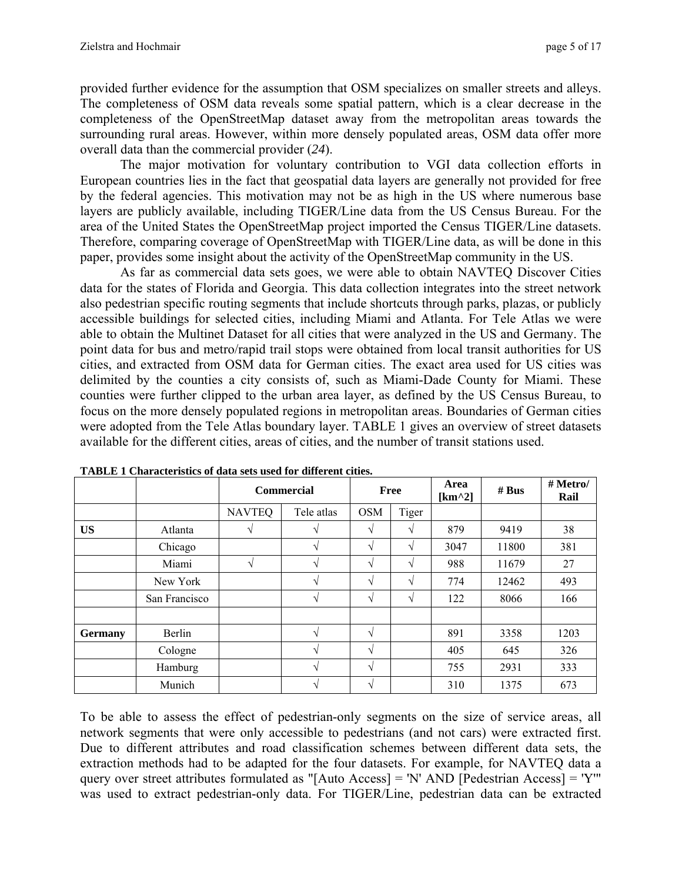provided further evidence for the assumption that OSM specializes on smaller streets and alleys. The completeness of OSM data reveals some spatial pattern, which is a clear decrease in the completeness of the OpenStreetMap dataset away from the metropolitan areas towards the surrounding rural areas. However, within more densely populated areas, OSM data offer more overall data than the commercial provider (*24*).

The major motivation for voluntary contribution to VGI data collection efforts in European countries lies in the fact that geospatial data layers are generally not provided for free by the federal agencies. This motivation may not be as high in the US where numerous base layers are publicly available, including TIGER/Line data from the US Census Bureau. For the area of the United States the OpenStreetMap project imported the Census TIGER/Line datasets. Therefore, comparing coverage of OpenStreetMap with TIGER/Line data, as will be done in this paper, provides some insight about the activity of the OpenStreetMap community in the US.

As far as commercial data sets goes, we were able to obtain NAVTEQ Discover Cities data for the states of Florida and Georgia. This data collection integrates into the street network also pedestrian specific routing segments that include shortcuts through parks, plazas, or publicly accessible buildings for selected cities, including Miami and Atlanta. For Tele Atlas we were able to obtain the Multinet Dataset for all cities that were analyzed in the US and Germany. The point data for bus and metro/rapid trail stops were obtained from local transit authorities for US cities, and extracted from OSM data for German cities. The exact area used for US cities was delimited by the counties a city consists of, such as Miami-Dade County for Miami. These counties were further clipped to the urban area layer, as defined by the US Census Bureau, to focus on the more densely populated regions in metropolitan areas. Boundaries of German cities were adopted from the Tele Atlas boundary layer. TABLE 1 gives an overview of street datasets available for the different cities, areas of cities, and the number of transit stations used.

|                |               | <b>Commercial</b> | Free          |            | Area<br>[ $km^2$ ] | # Bus | # Metro/<br>Rail |      |
|----------------|---------------|-------------------|---------------|------------|--------------------|-------|------------------|------|
|                |               | <b>NAVTEQ</b>     | Tele atlas    | <b>OSM</b> | Tiger              |       |                  |      |
| <b>US</b>      | Atlanta       |                   | V             | $\sqrt{}$  | V                  | 879   | 9419             | 38   |
|                | Chicago       |                   | V             | $\sqrt{}$  | V                  | 3047  | 11800            | 381  |
|                | Miami         | N                 | $\mathcal{N}$ | $\sqrt{}$  | V                  | 988   | 11679            | 27   |
|                | New York      |                   | $\sqrt{ }$    | $\sqrt{}$  | V                  | 774   | 12462            | 493  |
|                | San Francisco |                   | V             | $\sqrt{}$  | V                  | 122   | 8066             | 166  |
|                |               |                   |               |            |                    |       |                  |      |
| <b>Germany</b> | Berlin        |                   | $\mathcal{N}$ | V          |                    | 891   | 3358             | 1203 |
|                | Cologne       |                   | $\mathcal{N}$ | $\sqrt{}$  |                    | 405   | 645              | 326  |
|                | Hamburg       |                   | $\mathcal{N}$ | $\sqrt{}$  |                    | 755   | 2931             | 333  |
|                | Munich        |                   | V             | $\sqrt{}$  |                    | 310   | 1375             | 673  |

**TABLE 1 Characteristics of data sets used for different cities.** 

To be able to assess the effect of pedestrian-only segments on the size of service areas, all network segments that were only accessible to pedestrians (and not cars) were extracted first. Due to different attributes and road classification schemes between different data sets, the extraction methods had to be adapted for the four datasets. For example, for NAVTEQ data a query over street attributes formulated as "[Auto Access] = 'N' AND [Pedestrian Access] = 'Y'" was used to extract pedestrian-only data. For TIGER/Line, pedestrian data can be extracted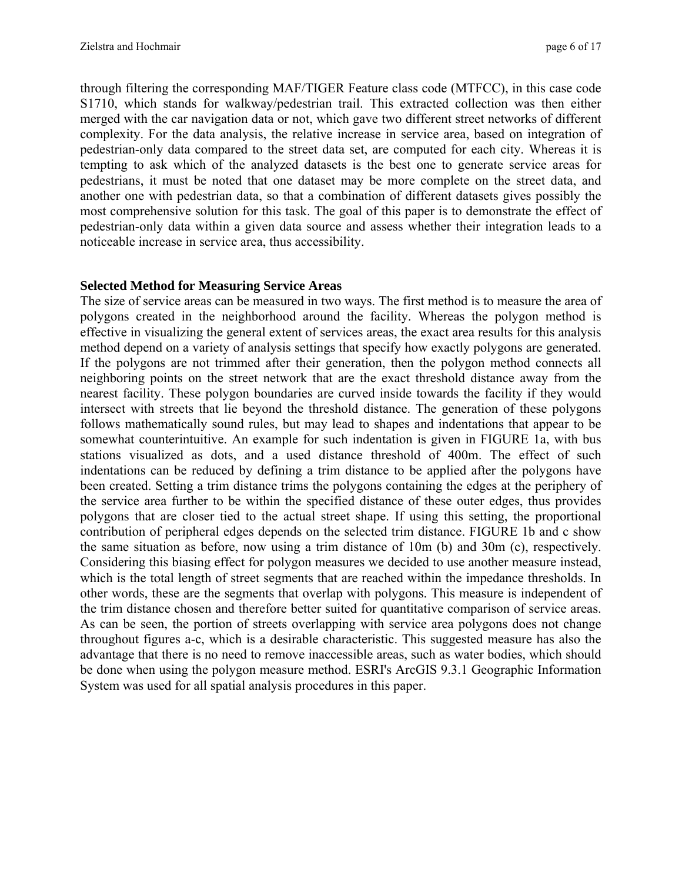through filtering the corresponding MAF/TIGER Feature class code (MTFCC), in this case code S1710, which stands for walkway/pedestrian trail. This extracted collection was then either merged with the car navigation data or not, which gave two different street networks of different complexity. For the data analysis, the relative increase in service area, based on integration of pedestrian-only data compared to the street data set, are computed for each city. Whereas it is tempting to ask which of the analyzed datasets is the best one to generate service areas for pedestrians, it must be noted that one dataset may be more complete on the street data, and another one with pedestrian data, so that a combination of different datasets gives possibly the most comprehensive solution for this task. The goal of this paper is to demonstrate the effect of pedestrian-only data within a given data source and assess whether their integration leads to a noticeable increase in service area, thus accessibility.

### **Selected Method for Measuring Service Areas**

The size of service areas can be measured in two ways. The first method is to measure the area of polygons created in the neighborhood around the facility. Whereas the polygon method is effective in visualizing the general extent of services areas, the exact area results for this analysis method depend on a variety of analysis settings that specify how exactly polygons are generated. If the polygons are not trimmed after their generation, then the polygon method connects all neighboring points on the street network that are the exact threshold distance away from the nearest facility. These polygon boundaries are curved inside towards the facility if they would intersect with streets that lie beyond the threshold distance. The generation of these polygons follows mathematically sound rules, but may lead to shapes and indentations that appear to be somewhat counterintuitive. An example for such indentation is given in FIGURE 1a, with bus stations visualized as dots, and a used distance threshold of 400m. The effect of such indentations can be reduced by defining a trim distance to be applied after the polygons have been created. Setting a trim distance trims the polygons containing the edges at the periphery of the service area further to be within the specified distance of these outer edges, thus provides polygons that are closer tied to the actual street shape. If using this setting, the proportional contribution of peripheral edges depends on the selected trim distance. FIGURE 1b and c show the same situation as before, now using a trim distance of 10m (b) and 30m (c), respectively. Considering this biasing effect for polygon measures we decided to use another measure instead, which is the total length of street segments that are reached within the impedance thresholds. In other words, these are the segments that overlap with polygons. This measure is independent of the trim distance chosen and therefore better suited for quantitative comparison of service areas. As can be seen, the portion of streets overlapping with service area polygons does not change throughout figures a-c, which is a desirable characteristic. This suggested measure has also the advantage that there is no need to remove inaccessible areas, such as water bodies, which should be done when using the polygon measure method. ESRI's ArcGIS 9.3.1 Geographic Information System was used for all spatial analysis procedures in this paper.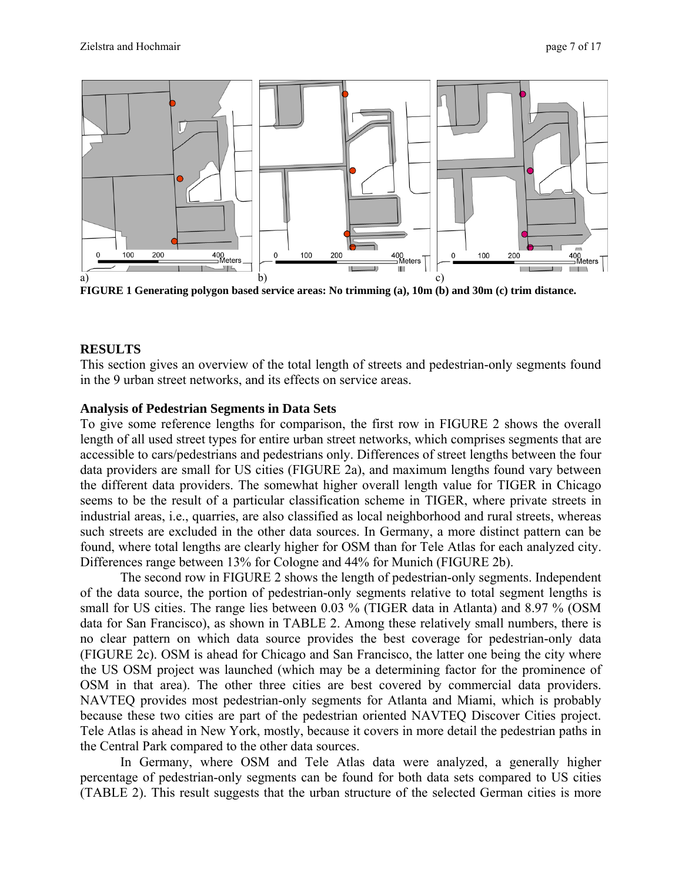

**FIGURE 1 Generating polygon based service areas: No trimming (a), 10m (b) and 30m (c) trim distance.** 

# **RESULTS**

This section gives an overview of the total length of streets and pedestrian-only segments found in the 9 urban street networks, and its effects on service areas.

# **Analysis of Pedestrian Segments in Data Sets**

To give some reference lengths for comparison, the first row in FIGURE 2 shows the overall length of all used street types for entire urban street networks, which comprises segments that are accessible to cars/pedestrians and pedestrians only. Differences of street lengths between the four data providers are small for US cities (FIGURE 2a), and maximum lengths found vary between the different data providers. The somewhat higher overall length value for TIGER in Chicago seems to be the result of a particular classification scheme in TIGER, where private streets in industrial areas, i.e., quarries, are also classified as local neighborhood and rural streets, whereas such streets are excluded in the other data sources. In Germany, a more distinct pattern can be found, where total lengths are clearly higher for OSM than for Tele Atlas for each analyzed city. Differences range between 13% for Cologne and 44% for Munich (FIGURE 2b).

The second row in FIGURE 2 shows the length of pedestrian-only segments. Independent of the data source, the portion of pedestrian-only segments relative to total segment lengths is small for US cities. The range lies between 0.03 % (TIGER data in Atlanta) and 8.97 % (OSM data for San Francisco), as shown in TABLE 2. Among these relatively small numbers, there is no clear pattern on which data source provides the best coverage for pedestrian-only data (FIGURE 2c). OSM is ahead for Chicago and San Francisco, the latter one being the city where the US OSM project was launched (which may be a determining factor for the prominence of OSM in that area). The other three cities are best covered by commercial data providers. NAVTEQ provides most pedestrian-only segments for Atlanta and Miami, which is probably because these two cities are part of the pedestrian oriented NAVTEQ Discover Cities project. Tele Atlas is ahead in New York, mostly, because it covers in more detail the pedestrian paths in the Central Park compared to the other data sources.

In Germany, where OSM and Tele Atlas data were analyzed, a generally higher percentage of pedestrian-only segments can be found for both data sets compared to US cities (TABLE 2). This result suggests that the urban structure of the selected German cities is more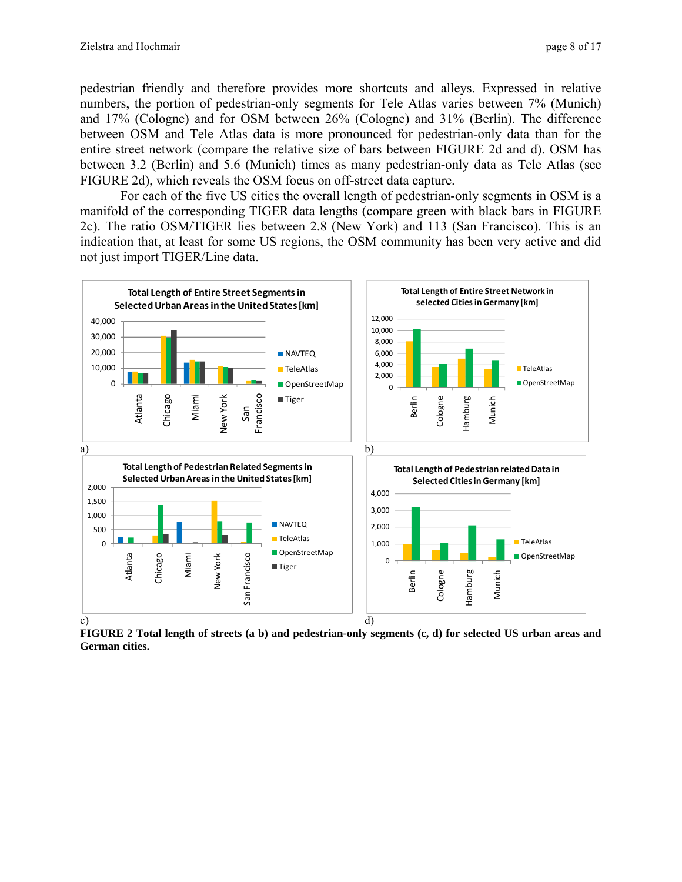pedestrian friendly and therefore provides more shortcuts and alleys. Expressed in relative numbers, the portion of pedestrian-only segments for Tele Atlas varies between 7% (Munich) and 17% (Cologne) and for OSM between 26% (Cologne) and 31% (Berlin). The difference between OSM and Tele Atlas data is more pronounced for pedestrian-only data than for the entire street network (compare the relative size of bars between FIGURE 2d and d). OSM has between 3.2 (Berlin) and 5.6 (Munich) times as many pedestrian-only data as Tele Atlas (see FIGURE 2d), which reveals the OSM focus on off-street data capture.

For each of the five US cities the overall length of pedestrian-only segments in OSM is a manifold of the corresponding TIGER data lengths (compare green with black bars in FIGURE 2c). The ratio OSM/TIGER lies between 2.8 (New York) and 113 (San Francisco). This is an indication that, at least for some US regions, the OSM community has been very active and did not just import TIGER/Line data.



**FIGURE 2 Total length of streets (a b) and pedestrian-only segments (c, d) for selected US urban areas and German cities.**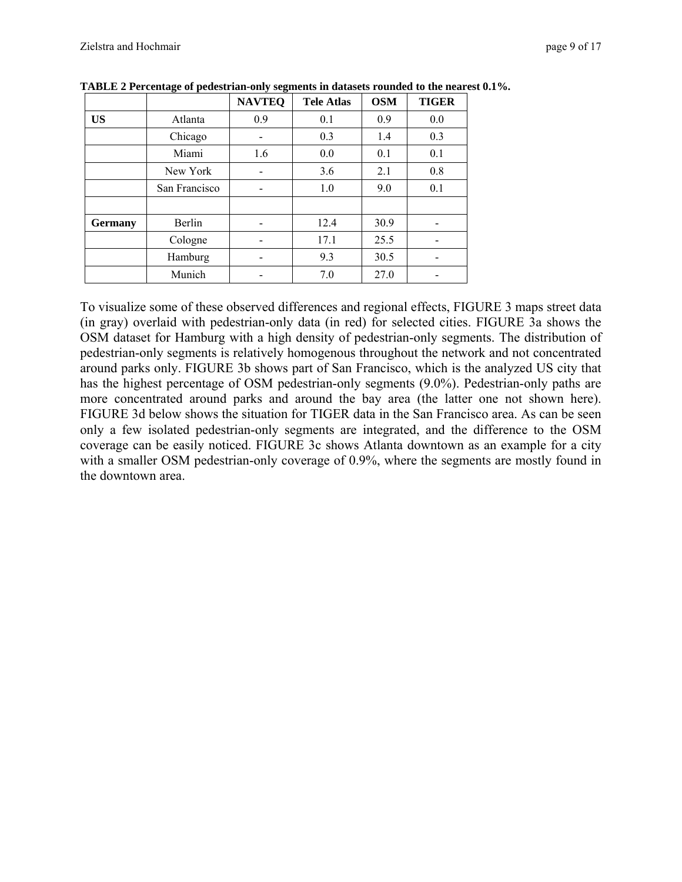|                |               | <b>NAVTEQ</b> | <b>Tele Atlas</b> | <b>OSM</b> | <b>TIGER</b> |  |
|----------------|---------------|---------------|-------------------|------------|--------------|--|
| <b>US</b>      | Atlanta       | 0.9           | 0.1               | 0.9        | 0.0          |  |
|                | Chicago       |               | 0.3               | 1.4        | 0.3          |  |
|                | Miami         | 1.6           | 0.0               | 0.1        | 0.1          |  |
|                | New York      |               | 3.6               | 2.1        | 0.8          |  |
|                | San Francisco |               | 1.0               | 9.0        | 0.1          |  |
|                |               |               |                   |            |              |  |
| <b>Germany</b> | Berlin        |               | 12.4              | 30.9       |              |  |
|                | Cologne       |               | 17.1              | 25.5       |              |  |
|                | Hamburg       |               | 9.3               | 30.5       |              |  |
|                | Munich        |               | 7.0               | 27.0       |              |  |

**TABLE 2 Percentage of pedestrian-only segments in datasets rounded to the nearest 0.1%.** 

To visualize some of these observed differences and regional effects, FIGURE 3 maps street data (in gray) overlaid with pedestrian-only data (in red) for selected cities. FIGURE 3a shows the OSM dataset for Hamburg with a high density of pedestrian-only segments. The distribution of pedestrian-only segments is relatively homogenous throughout the network and not concentrated around parks only. FIGURE 3b shows part of San Francisco, which is the analyzed US city that has the highest percentage of OSM pedestrian-only segments (9.0%). Pedestrian-only paths are more concentrated around parks and around the bay area (the latter one not shown here). FIGURE 3d below shows the situation for TIGER data in the San Francisco area. As can be seen only a few isolated pedestrian-only segments are integrated, and the difference to the OSM coverage can be easily noticed. FIGURE 3c shows Atlanta downtown as an example for a city with a smaller OSM pedestrian-only coverage of 0.9%, where the segments are mostly found in the downtown area.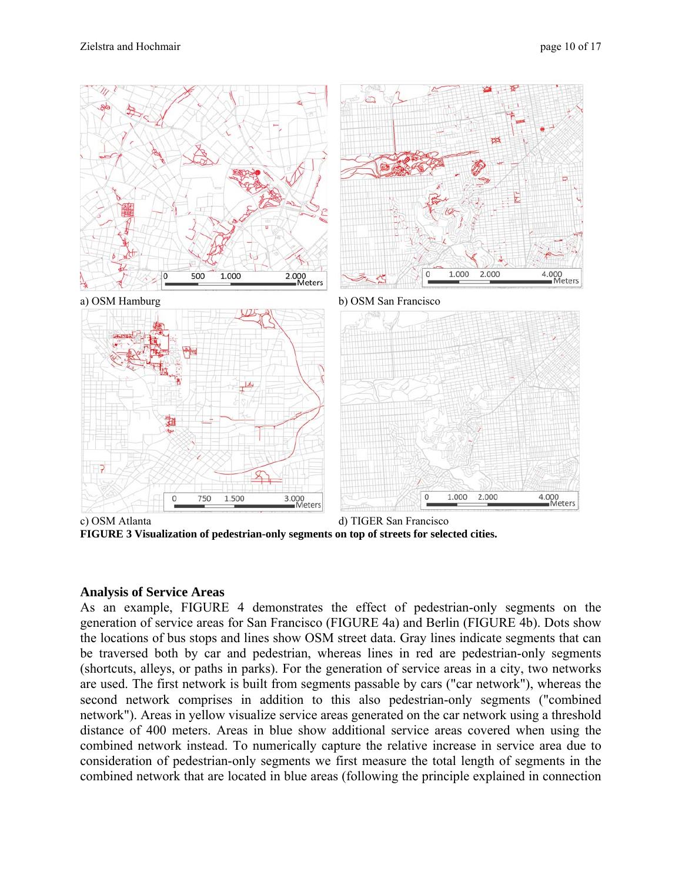

**FIGURE 3 Visualization of pedestrian-only segments on top of streets for selected cities.** 

## **Analysis of Service Areas**

As an example, FIGURE 4 demonstrates the effect of pedestrian-only segments on the generation of service areas for San Francisco (FIGURE 4a) and Berlin (FIGURE 4b). Dots show the locations of bus stops and lines show OSM street data. Gray lines indicate segments that can be traversed both by car and pedestrian, whereas lines in red are pedestrian-only segments (shortcuts, alleys, or paths in parks). For the generation of service areas in a city, two networks are used. The first network is built from segments passable by cars ("car network"), whereas the second network comprises in addition to this also pedestrian-only segments ("combined network"). Areas in yellow visualize service areas generated on the car network using a threshold distance of 400 meters. Areas in blue show additional service areas covered when using the combined network instead. To numerically capture the relative increase in service area due to consideration of pedestrian-only segments we first measure the total length of segments in the combined network that are located in blue areas (following the principle explained in connection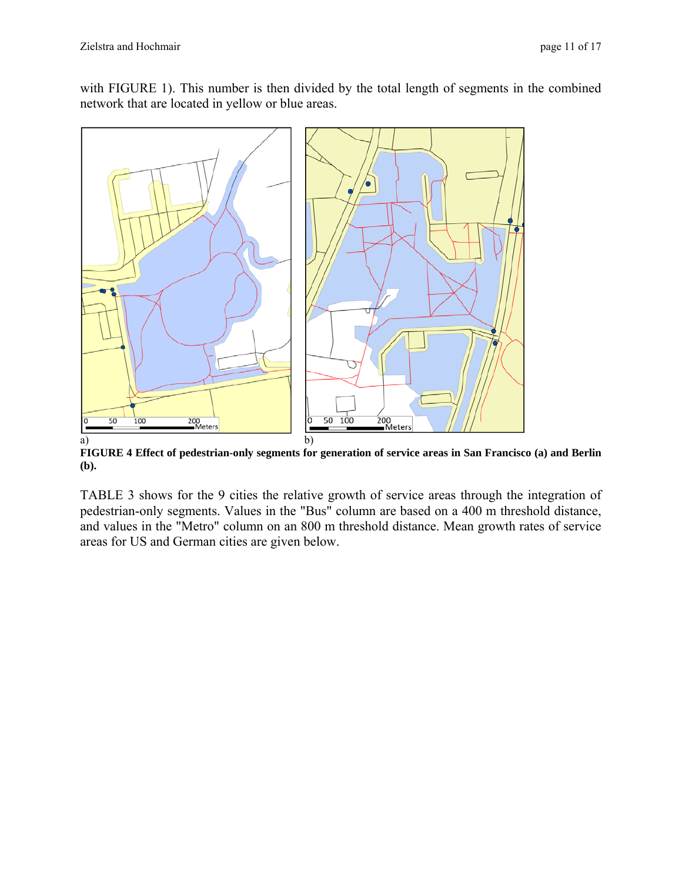with FIGURE 1). This number is then divided by the total length of segments in the combined network that are located in yellow or blue areas.



**FIGURE 4 Effect of pedestrian-only segments for generation of service areas in San Francisco (a) and Berlin (b).** 

TABLE 3 shows for the 9 cities the relative growth of service areas through the integration of pedestrian-only segments. Values in the "Bus" column are based on a 400 m threshold distance, and values in the "Metro" column on an 800 m threshold distance. Mean growth rates of service areas for US and German cities are given below.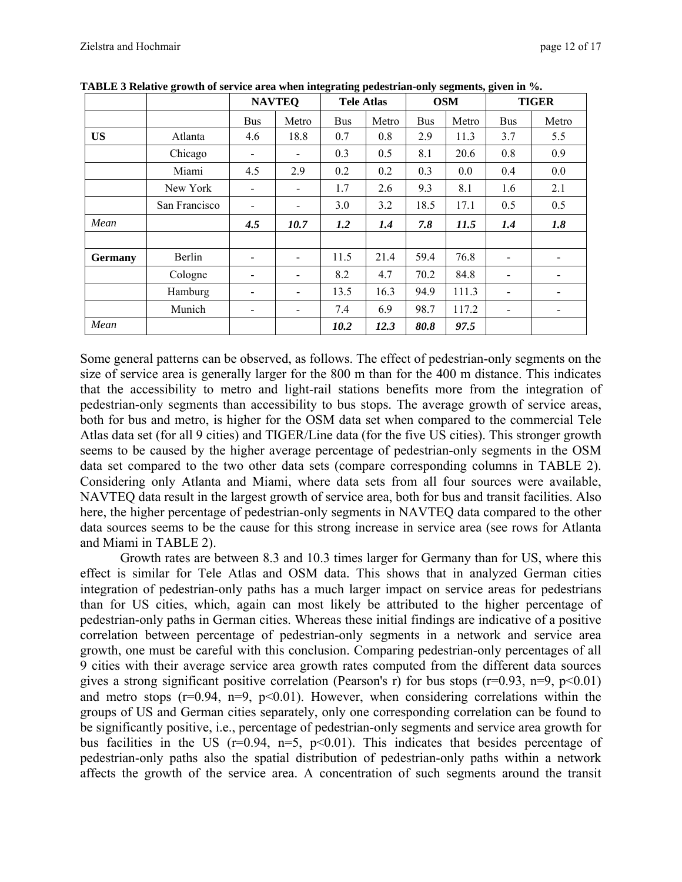|                |               | <b>NAVTEQ</b> |       | <b>Tele Atlas</b> |       | <b>OSM</b> |       | <b>TIGER</b>   |       |
|----------------|---------------|---------------|-------|-------------------|-------|------------|-------|----------------|-------|
|                |               | <b>Bus</b>    | Metro | <b>Bus</b>        | Metro | <b>Bus</b> | Metro | <b>Bus</b>     | Metro |
| <b>US</b>      | Atlanta       | 4.6           | 18.8  | 0.7               | 0.8   | 2.9        | 11.3  | 3.7            | 5.5   |
|                | Chicago       |               |       | 0.3               | 0.5   | 8.1        | 20.6  | 0.8            | 0.9   |
|                | Miami         | 4.5           | 2.9   | 0.2               | 0.2   | 0.3        | 0.0   | 0.4            | 0.0   |
|                | New York      | -             | -     | 1.7               | 2.6   | 9.3        | 8.1   | 1.6            | 2.1   |
|                | San Francisco |               |       | 3.0               | 3.2   | 18.5       | 17.1  | 0.5            | 0.5   |
| Mean           |               | 4.5           | 10.7  | 1.2               | 1.4   | 7.8        | 11.5  | 1.4            | 1.8   |
|                |               |               |       |                   |       |            |       |                |       |
| <b>Germany</b> | Berlin        |               |       | 11.5              | 21.4  | 59.4       | 76.8  |                |       |
|                | Cologne       | -             |       | 8.2               | 4.7   | 70.2       | 84.8  | -              | ۰     |
|                | Hamburg       | -             | -     | 13.5              | 16.3  | 94.9       | 111.3 | $\blacksquare$ | ۰     |
|                | Munich        | -             | -     | 7.4               | 6.9   | 98.7       | 117.2 | -              |       |
| Mean           |               |               |       | 10.2              | 12.3  | 80.8       | 97.5  |                |       |

**TABLE 3 Relative growth of service area when integrating pedestrian-only segments, given in %.** 

Some general patterns can be observed, as follows. The effect of pedestrian-only segments on the size of service area is generally larger for the 800 m than for the 400 m distance. This indicates that the accessibility to metro and light-rail stations benefits more from the integration of pedestrian-only segments than accessibility to bus stops. The average growth of service areas, both for bus and metro, is higher for the OSM data set when compared to the commercial Tele Atlas data set (for all 9 cities) and TIGER/Line data (for the five US cities). This stronger growth seems to be caused by the higher average percentage of pedestrian-only segments in the OSM data set compared to the two other data sets (compare corresponding columns in TABLE 2). Considering only Atlanta and Miami, where data sets from all four sources were available, NAVTEQ data result in the largest growth of service area, both for bus and transit facilities. Also here, the higher percentage of pedestrian-only segments in NAVTEQ data compared to the other data sources seems to be the cause for this strong increase in service area (see rows for Atlanta and Miami in TABLE 2).

Growth rates are between 8.3 and 10.3 times larger for Germany than for US, where this effect is similar for Tele Atlas and OSM data. This shows that in analyzed German cities integration of pedestrian-only paths has a much larger impact on service areas for pedestrians than for US cities, which, again can most likely be attributed to the higher percentage of pedestrian-only paths in German cities. Whereas these initial findings are indicative of a positive correlation between percentage of pedestrian-only segments in a network and service area growth, one must be careful with this conclusion. Comparing pedestrian-only percentages of all 9 cities with their average service area growth rates computed from the different data sources gives a strong significant positive correlation (Pearson's r) for bus stops ( $r=0.93$ ,  $n=9$ ,  $p<0.01$ ) and metro stops  $(r=0.94, n=9, p<0.01)$ . However, when considering correlations within the groups of US and German cities separately, only one corresponding correlation can be found to be significantly positive, i.e., percentage of pedestrian-only segments and service area growth for bus facilities in the US ( $r=0.94$ ,  $n=5$ ,  $p<0.01$ ). This indicates that besides percentage of pedestrian-only paths also the spatial distribution of pedestrian-only paths within a network affects the growth of the service area. A concentration of such segments around the transit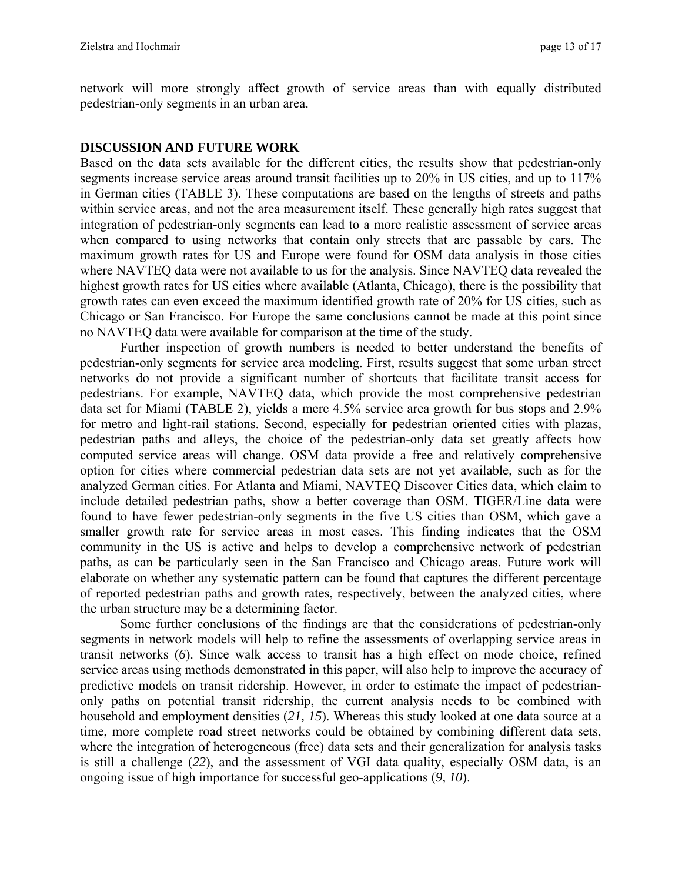network will more strongly affect growth of service areas than with equally distributed pedestrian-only segments in an urban area.

## **DISCUSSION AND FUTURE WORK**

Based on the data sets available for the different cities, the results show that pedestrian-only segments increase service areas around transit facilities up to 20% in US cities, and up to 117% in German cities (TABLE 3). These computations are based on the lengths of streets and paths within service areas, and not the area measurement itself. These generally high rates suggest that integration of pedestrian-only segments can lead to a more realistic assessment of service areas when compared to using networks that contain only streets that are passable by cars. The maximum growth rates for US and Europe were found for OSM data analysis in those cities where NAVTEQ data were not available to us for the analysis. Since NAVTEQ data revealed the highest growth rates for US cities where available (Atlanta, Chicago), there is the possibility that growth rates can even exceed the maximum identified growth rate of 20% for US cities, such as Chicago or San Francisco. For Europe the same conclusions cannot be made at this point since no NAVTEQ data were available for comparison at the time of the study.

Further inspection of growth numbers is needed to better understand the benefits of pedestrian-only segments for service area modeling. First, results suggest that some urban street networks do not provide a significant number of shortcuts that facilitate transit access for pedestrians. For example, NAVTEQ data, which provide the most comprehensive pedestrian data set for Miami (TABLE 2), yields a mere 4.5% service area growth for bus stops and 2.9% for metro and light-rail stations. Second, especially for pedestrian oriented cities with plazas, pedestrian paths and alleys, the choice of the pedestrian-only data set greatly affects how computed service areas will change. OSM data provide a free and relatively comprehensive option for cities where commercial pedestrian data sets are not yet available, such as for the analyzed German cities. For Atlanta and Miami, NAVTEQ Discover Cities data, which claim to include detailed pedestrian paths, show a better coverage than OSM. TIGER/Line data were found to have fewer pedestrian-only segments in the five US cities than OSM, which gave a smaller growth rate for service areas in most cases. This finding indicates that the OSM community in the US is active and helps to develop a comprehensive network of pedestrian paths, as can be particularly seen in the San Francisco and Chicago areas. Future work will elaborate on whether any systematic pattern can be found that captures the different percentage of reported pedestrian paths and growth rates, respectively, between the analyzed cities, where the urban structure may be a determining factor.

Some further conclusions of the findings are that the considerations of pedestrian-only segments in network models will help to refine the assessments of overlapping service areas in transit networks (*6*). Since walk access to transit has a high effect on mode choice, refined service areas using methods demonstrated in this paper, will also help to improve the accuracy of predictive models on transit ridership. However, in order to estimate the impact of pedestrianonly paths on potential transit ridership, the current analysis needs to be combined with household and employment densities (*21, 15*). Whereas this study looked at one data source at a time, more complete road street networks could be obtained by combining different data sets, where the integration of heterogeneous (free) data sets and their generalization for analysis tasks is still a challenge (*22*), and the assessment of VGI data quality, especially OSM data, is an ongoing issue of high importance for successful geo-applications (*9, 10*).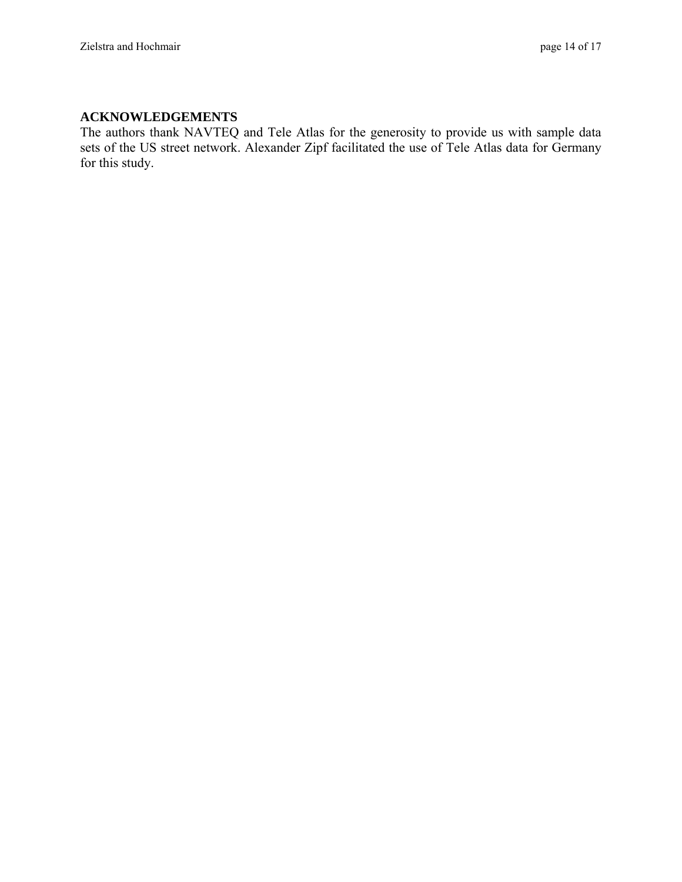# **ACKNOWLEDGEMENTS**

The authors thank NAVTEQ and Tele Atlas for the generosity to provide us with sample data sets of the US street network. Alexander Zipf facilitated the use of Tele Atlas data for Germany for this study.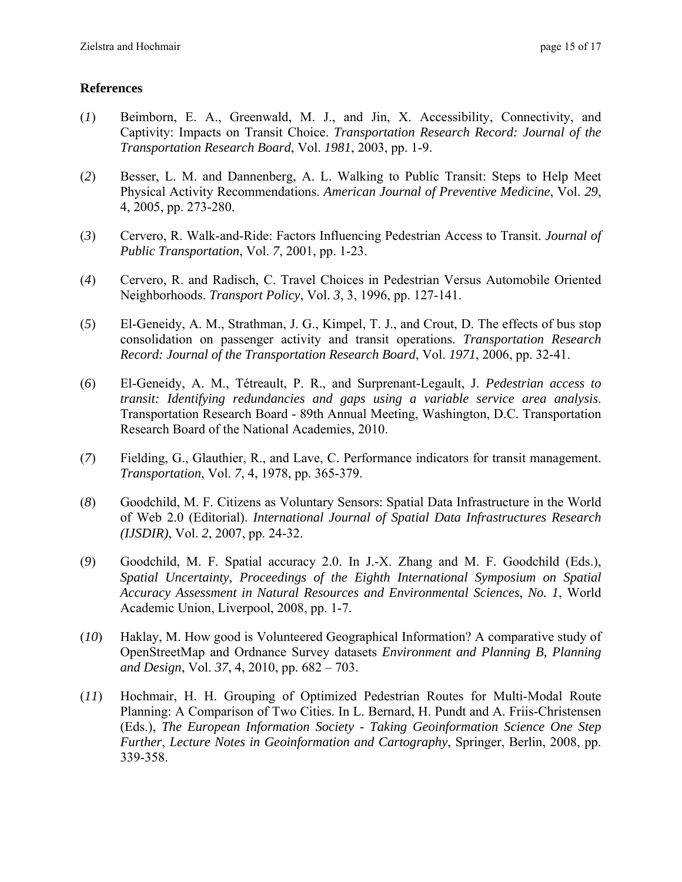# **References**

- (*1*) Beimborn, E. A., Greenwald, M. J., and Jin, X. Accessibility, Connectivity, and Captivity: Impacts on Transit Choice. *Transportation Research Record: Journal of the Transportation Research Board*, Vol. *1981*, 2003, pp. 1-9.
- (*2*) Besser, L. M. and Dannenberg, A. L. Walking to Public Transit: Steps to Help Meet Physical Activity Recommendations. *American Journal of Preventive Medicine*, Vol. *29*, 4, 2005, pp. 273-280.
- (*3*) Cervero, R. Walk-and-Ride: Factors Influencing Pedestrian Access to Transit. *Journal of Public Transportation*, Vol. *7*, 2001, pp. 1-23.
- (*4*) Cervero, R. and Radisch, C. Travel Choices in Pedestrian Versus Automobile Oriented Neighborhoods. *Transport Policy*, Vol. *3*, 3, 1996, pp. 127-141.
- (*5*) El-Geneidy, A. M., Strathman, J. G., Kimpel, T. J., and Crout, D. The effects of bus stop consolidation on passenger activity and transit operations. *Transportation Research Record: Journal of the Transportation Research Board*, Vol. *1971*, 2006, pp. 32-41.
- (*6*) El-Geneidy, A. M., Tétreault, P. R., and Surprenant-Legault, J. *Pedestrian access to transit: Identifying redundancies and gaps using a variable service area analysis*. Transportation Research Board - 89th Annual Meeting, Washington, D.C. Transportation Research Board of the National Academies, 2010.
- (*7*) Fielding, G., Glauthier, R., and Lave, C. Performance indicators for transit management. *Transportation*, Vol. *7*, 4, 1978, pp. 365-379.
- (*8*) Goodchild, M. F. Citizens as Voluntary Sensors: Spatial Data Infrastructure in the World of Web 2.0 (Editorial). *International Journal of Spatial Data Infrastructures Research (IJSDIR)*, Vol. *2*, 2007, pp. 24-32.
- (*9*) Goodchild, M. F. Spatial accuracy 2.0. In J.-X. Zhang and M. F. Goodchild (Eds.), *Spatial Uncertainty, Proceedings of the Eighth International Symposium on Spatial Accuracy Assessment in Natural Resources and Environmental Sciences*, *No. 1*, World Academic Union, Liverpool, 2008, pp. 1-7.
- (*10*) Haklay, M. How good is Volunteered Geographical Information? A comparative study of OpenStreetMap and Ordnance Survey datasets *Environment and Planning B, Planning and Design*, Vol. *37*, 4, 2010, pp. 682 – 703.
- (*11*) Hochmair, H. H. Grouping of Optimized Pedestrian Routes for Multi-Modal Route Planning: A Comparison of Two Cities. In L. Bernard, H. Pundt and A. Friis-Christensen (Eds.), *The European Information Society - Taking Geoinformation Science One Step Further*, *Lecture Notes in Geoinformation and Cartography*, Springer, Berlin, 2008, pp. 339-358.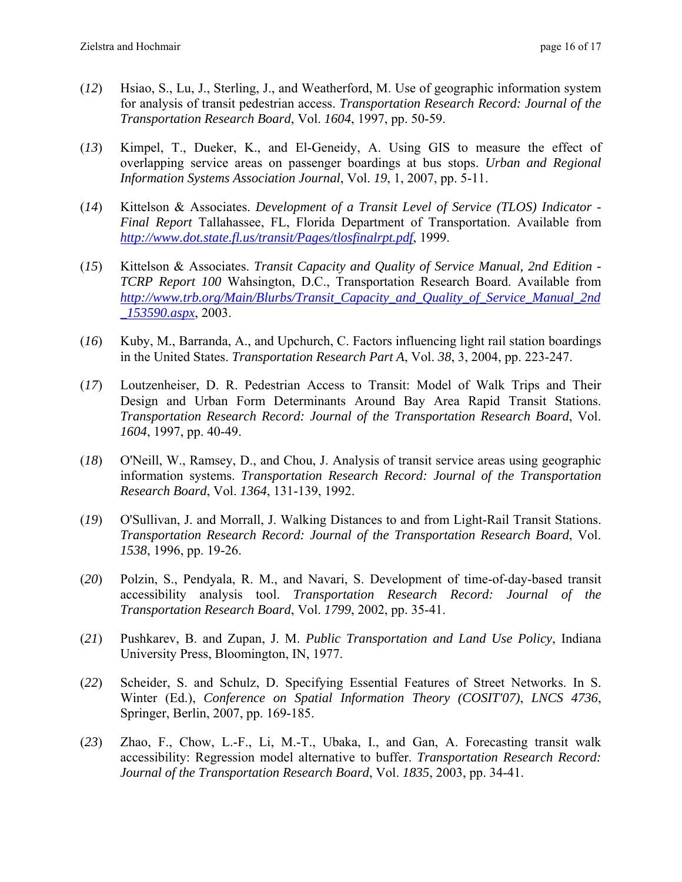- (*12*) Hsiao, S., Lu, J., Sterling, J., and Weatherford, M. Use of geographic information system for analysis of transit pedestrian access. *Transportation Research Record: Journal of the Transportation Research Board*, Vol. *1604*, 1997, pp. 50-59.
- (*13*) Kimpel, T., Dueker, K., and El-Geneidy, A. Using GIS to measure the effect of overlapping service areas on passenger boardings at bus stops. *Urban and Regional Information Systems Association Journal*, Vol. *19*, 1, 2007, pp. 5-11.
- (*14*) Kittelson & Associates. *Development of a Transit Level of Service (TLOS) Indicator Final Report* Tallahassee, FL, Florida Department of Transportation. Available from *http://www.dot.state.fl.us/transit/Pages/tlosfinalrpt.pdf*, 1999.
- (*15*) Kittelson & Associates. *Transit Capacity and Quality of Service Manual, 2nd Edition TCRP Report 100* Wahsington, D.C., Transportation Research Board. Available from *http://www.trb.org/Main/Blurbs/Transit\_Capacity\_and\_Quality\_of\_Service\_Manual\_2nd \_153590.aspx*, 2003.
- (*16*) Kuby, M., Barranda, A., and Upchurch, C. Factors influencing light rail station boardings in the United States. *Transportation Research Part A*, Vol. *38*, 3, 2004, pp. 223-247.
- (*17*) Loutzenheiser, D. R. Pedestrian Access to Transit: Model of Walk Trips and Their Design and Urban Form Determinants Around Bay Area Rapid Transit Stations. *Transportation Research Record: Journal of the Transportation Research Board*, Vol. *1604*, 1997, pp. 40-49.
- (*18*) O'Neill, W., Ramsey, D., and Chou, J. Analysis of transit service areas using geographic information systems. *Transportation Research Record: Journal of the Transportation Research Board*, Vol. *1364*, 131-139, 1992.
- (*19*) O'Sullivan, J. and Morrall, J. Walking Distances to and from Light-Rail Transit Stations. *Transportation Research Record: Journal of the Transportation Research Board*, Vol. *1538*, 1996, pp. 19-26.
- (*20*) Polzin, S., Pendyala, R. M., and Navari, S. Development of time-of-day-based transit accessibility analysis tool. *Transportation Research Record: Journal of the Transportation Research Board*, Vol. *1799*, 2002, pp. 35-41.
- (*21*) Pushkarev, B. and Zupan, J. M. *Public Transportation and Land Use Policy*, Indiana University Press, Bloomington, IN, 1977.
- (*22*) Scheider, S. and Schulz, D. Specifying Essential Features of Street Networks. In S. Winter (Ed.), *Conference on Spatial Information Theory (COSIT'07)*, *LNCS 4736*, Springer, Berlin, 2007, pp. 169-185.
- (*23*) Zhao, F., Chow, L.-F., Li, M.-T., Ubaka, I., and Gan, A. Forecasting transit walk accessibility: Regression model alternative to buffer. *Transportation Research Record: Journal of the Transportation Research Board*, Vol. *1835*, 2003, pp. 34-41.